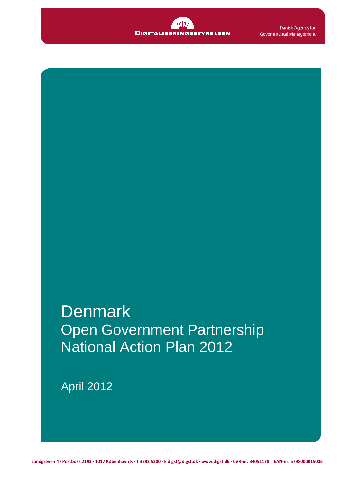### $\alpha$ DIGITALISERINGSSTYRELSEN

# **Denmark** Open Government Partnership National Action Plan 2012

April 2012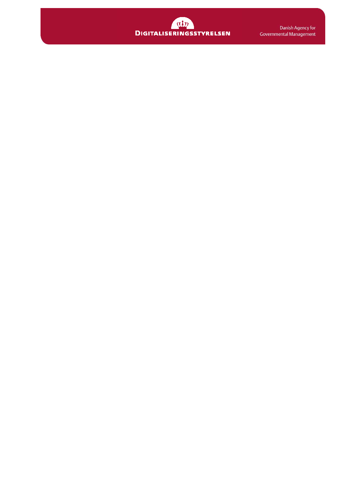## ain **DIGITALISERINGSSTYRELSEN**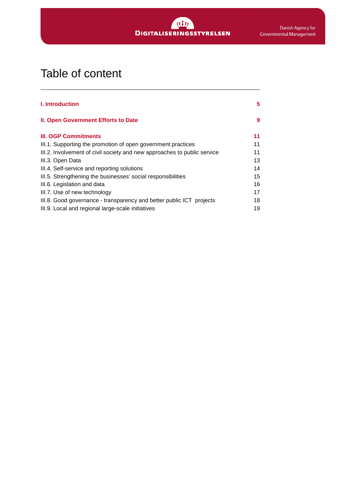## $\sqrt{dp}$ **DIGITALISERINGSSTYRELSEN**

## Table of content

| I. Introduction                                                          | 5. |
|--------------------------------------------------------------------------|----|
| II. Open Government Efforts to Date                                      | 9  |
| <b>III. OGP Commitments</b>                                              | 11 |
| III.1. Supporting the promotion of open government practices             | 11 |
| III.2. Involvement of civil society and new approaches to public service | 11 |
| III.3. Open Data                                                         | 13 |
| III.4. Self-service and reporting solutions                              | 14 |
| III.5. Strengthening the businesses' social responsibilities             | 15 |
| III.6. Legislation and data                                              | 16 |
| III.7. Use of new technology                                             | 17 |
| III.8. Good governance - transparency and better public ICT projects     | 18 |
| III.9. Local and regional large-scale initiatives                        | 19 |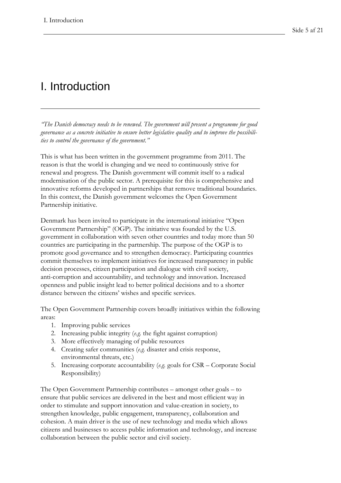## I. Introduction

"The Danish democracy needs to be renewed. The government will present a programme for good governance as a concrete initiative to ensure better legislative quality and to improve the possibilities to control the governance of the government."

This is what has been written in the government programme from 2011. The reason is that the world is changing and we need to continuously strive for renewal and progress. The Danish government will commit itself to a radical modernisation of the public sector. A prerequisite for this is comprehensive and innovative reforms developed in partnerships that remove traditional boundaries. In this context, the Danish government welcomes the Open Government Partnership initiative.

Denmark has been invited to participate in the international initiative "Open Government Partnership" (OGP). The initiative was founded by the U.S. government in collaboration with seven other countries and today more than 50 countries are participating in the partnership. The purpose of the OGP is to promote good governance and to strengthen democracy. Participating countries commit themselves to implement initiatives for increased transparency in public decision processes, citizen participation and dialogue with civil society, anti-corruption and accountability, and technology and innovation. Increased openness and public insight lead to better political decisions and to a shorter distance between the citizens' wishes and specific services.

The Open Government Partnership covers broadly initiatives within the following areas:

- 1. Improving public services
- 2. Increasing public integrity ( $e.g.$  the fight against corruption)
- 3. More effectively managing of public resources
- 4. Creating safer communities (e.g. disaster and crisis response, environmental threats, etc.)
- 5. Increasing corporate accountability (e.g. goals for CSR Corporate Social Responsibility)

The Open Government Partnership contributes – amongst other goals – to ensure that public services are delivered in the best and most efficient way in order to stimulate and support innovation and value-creation in society, to strengthen knowledge, public engagement, transparency, collaboration and cohesion. A main driver is the use of new technology and media which allows citizens and businesses to access public information and technology, and increase collaboration between the public sector and civil society.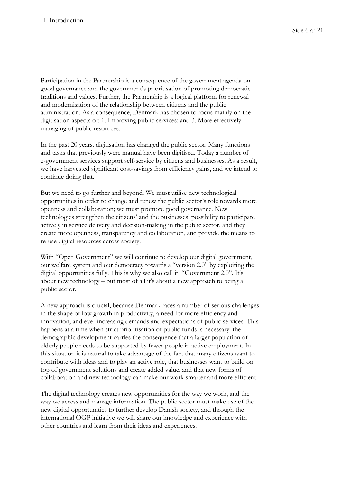Participation in the Partnership is a consequence of the government agenda on good governance and the government's prioritisation of promoting democratic traditions and values. Further, the Partnership is a logical platform for renewal and modernisation of the relationship between citizens and the public administration. As a consequence, Denmark has chosen to focus mainly on the digitisation aspects of: 1. Improving public services; and 3. More effectively managing of public resources.

In the past 20 years, digitisation has changed the public sector. Many functions and tasks that previously were manual have been digitised. Today a number of e-government services support self-service by citizens and businesses. As a result, we have harvested significant cost-savings from efficiency gains, and we intend to continue doing that.

But we need to go further and beyond. We must utilise new technological opportunities in order to change and renew the public sector's role towards more openness and collaboration; we must promote good governance. New technologies strengthen the citizens' and the businesses' possibility to participate actively in service delivery and decision-making in the public sector, and they create more openness, transparency and collaboration, and provide the means to re-use digital resources across society.

With "Open Government" we will continue to develop our digital government, our welfare system and our democracy towards a "version 2.0" by exploiting the digital opportunities fully. This is why we also call it "Government 2.0". It's about new technology – but most of all it's about a new approach to being a public sector.

A new approach is crucial, because Denmark faces a number of serious challenges in the shape of low growth in productivity, a need for more efficiency and innovation, and ever increasing demands and expectations of public services. This happens at a time when strict prioritisation of public funds is necessary: the demographic development carries the consequence that a larger population of elderly people needs to be supported by fewer people in active employment. In this situation it is natural to take advantage of the fact that many citizens want to contribute with ideas and to play an active role, that businesses want to build on top of government solutions and create added value, and that new forms of collaboration and new technology can make our work smarter and more efficient.

The digital technology creates new opportunities for the way we work, and the way we access and manage information. The public sector must make use of the new digital opportunities to further develop Danish society, and through the international OGP initiative we will share our knowledge and experience with other countries and learn from their ideas and experiences.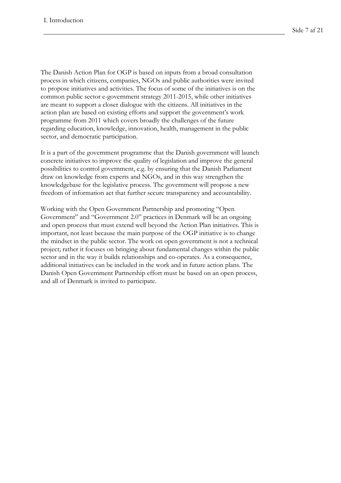The Danish Action Plan for OGP is based on inputs from a broad consultation process in which citizens, companies, NGOs and public authorities were invited to propose initiatives and activities. The focus of some of the initiatives is on the common public sector e-government strategy 2011-2015, while other initiatives are meant to support a closer dialogue with the citizens. All initiatives in the action plan are based on existing efforts and support the government's work programme from 2011 which covers broadly the challenges of the future regarding education, knowledge, innovation, health, management in the public sector, and democratic participation.

It is a part of the government programme that the Danish government will launch concrete initiatives to improve the quality of legislation and improve the general possibilities to control government, e.g. by ensuring that the Danish Parliament draw on knowledge from experts and NGOs, and in this way strengthen the knowledgebase for the legislative process. The government will propose a new freedom of information act that further secure transparency and accountability.

Working with the Open Government Partnership and promoting "Open Government" and "Government 2.0" practices in Denmark will be an ongoing and open process that must extend well beyond the Action Plan initiatives. This is important, not least because the main purpose of the OGP initiative is to change the mindset in the public sector. The work on open government is not a technical project; rather it focuses on bringing about fundamental changes within the public sector and in the way it builds relationships and co-operates. As a consequence, additional initiatives can be included in the work and in future action plans. The Danish Open Government Partnership effort must be based on an open process, and all of Denmark is invited to participate.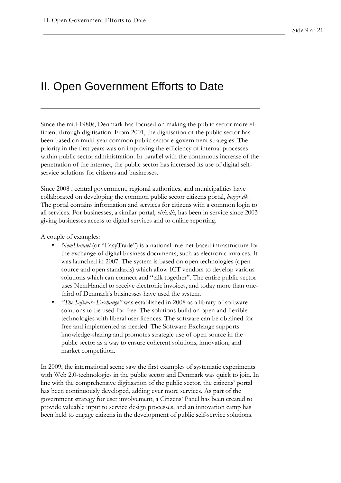## II. Open Government Efforts to Date

Since the mid-1980s, Denmark has focused on making the public sector more efficient through digitisation. From 2001, the digitisation of the public sector has been based on multi-year common public sector e-government strategies. The priority in the first years was on improving the efficiency of internal processes within public sector administration. In parallel with the continuous increase of the penetration of the internet, the public sector has increased its use of digital selfservice solutions for citizens and businesses.

Since 2008 , central government, regional authorities, and municipalities have collaborated on developing the common public sector citizens portal, borger.dk. The portal contains information and services for citizens with a common login to all services. For businesses, a similar portal, virk.dk, has been in service since 2003 giving businesses access to digital services and to online reporting.

A couple of examples:

- NemHandel (or "EasyTrade") is a national internet-based infrastructure for the exchange of digital business documents, such as electronic invoices. It was launched in 2007. The system is based on open technologies (open source and open standards) which allow ICT vendors to develop various solutions which can connect and "talk together". The entire public sector uses NemHandel to receive electronic invoices, and today more than onethird of Denmark's businesses have used the system.
- "The Software Exchange" was established in 2008 as a library of software solutions to be used for free. The solutions build on open and flexible technologies with liberal user licences. The software can be obtained for free and implemented as needed. The Software Exchange supports knowledge-sharing and promotes strategic use of open source in the public sector as a way to ensure coherent solutions, innovation, and market competition.

In 2009, the international scene saw the first examples of systematic experiments with Web 2.0-technologies in the public sector and Denmark was quick to join. In line with the comprehensive digitisation of the public sector, the citizens' portal has been continuously developed, adding ever more services. As part of the government strategy for user involvement, a Citizens' Panel has been created to provide valuable input to service design processes, and an innovation camp has been held to engage citizens in the development of public self-service solutions.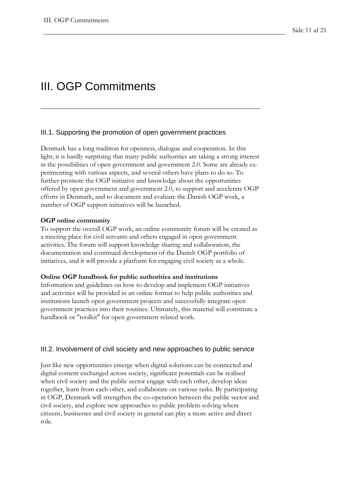## III. OGP Commitments

### III.1. Supporting the promotion of open government practices

Denmark has a long tradition for openness, dialogue and cooperation. In this light, it is hardly surprising that many public authorities are taking a strong interest in the possibilities of open government and government 2.0. Some are already experimenting with various aspects, and several others have plans to do so. To further promote the OGP initiative and knowledge about the opportunities offered by open government and government 2.0, to support and accelerate OGP efforts in Denmark, and to document and evaluate the Danish OGP work, a number of OGP support initiatives will be launched.

#### OGP online community

To support the overall OGP work, an online community forum will be created as a meeting place for civil servants and others engaged in open government activities. The forum will support knowledge sharing and collaboration, the documentation and continued development of the Danish OGP portfolio of initiatives, and it will provide a platform for engaging civil society as a whole.

#### Online OGP handbook for public authorities and institutions

Information and guidelines on how to develop and implement OGP initiatives and activities will be provided in an online format to help public authorities and institutions launch open government projects and successfully integrate open government practices into their routines. Ultimately, this material will constitute a handbook or "toolkit" for open government related work.

#### III.2. Involvement of civil society and new approaches to public service

Just like new opportunities emerge when digital solutions can be connected and digital content exchanged across society, significant potentials can be realised when civil society and the public sector engage with each other, develop ideas together, learn from each other, and collaborate on various tasks. By participating in OGP, Denmark will strengthen the co-operation between the public sector and civil society, and explore new approaches to public problem-solving where citizens, businesses and civil society in general can play a more active and direct role.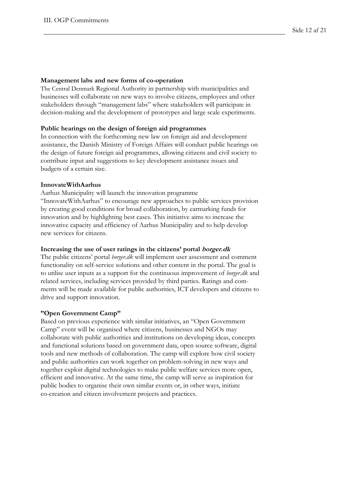#### Management labs and new forms of co-operation

The Central Denmark Regional Authority in partnership with municipalities and businesses will collaborate on new ways to involve citizens, employees and other stakeholders through "management labs" where stakeholders will participate in decision-making and the development of prototypes and large scale experiments.

#### Public hearings on the design of foreign aid programmes

In connection with the forthcoming new law on foreign aid and development assistance, the Danish Ministry of Foreign Affairs will conduct public hearings on the design of future foreign aid programmes, allowing citizens and civil society to contribute input and suggestions to key development assistance issues and budgets of a certain size.

#### InnovateWithAarhus

Aarhus Municipality will launch the innovation programme "InnovateWithAarhus" to encourage new approaches to public services provision by creating good conditions for broad collaboration, by earmarking funds for innovation and by highlighting best cases. This initiative aims to increase the innovative capacity and efficiency of Aarhus Municipality and to help develop new services for citizens.

#### Increasing the use of user ratings in the citizens' portal borger.dk

The public citizens' portal borger.dk will implement user assessment and comment functionality on self-service solutions and other content in the portal. The goal is to utilise user inputs as a support for the continuous improvement of *borger.dk* and related services, including services provided by third parties. Ratings and comments will be made available for public authorities, ICT developers and citizens to drive and support innovation.

#### "Open Government Camp"

Based on previous experience with similar initiatives, an "Open Government Camp" event will be organised where citizens, businesses and NGOs may collaborate with public authorities and institutions on developing ideas, concepts and functional solutions based on government data, open source software, digital tools and new methods of collaboration. The camp will explore how civil society and public authorities can work together on problem-solving in new ways and together exploit digital technologies to make public welfare services more open, efficient and innovative. At the same time, the camp will serve as inspiration for public bodies to organise their own similar events or, in other ways, initiate co-creation and citizen involvement projects and practices.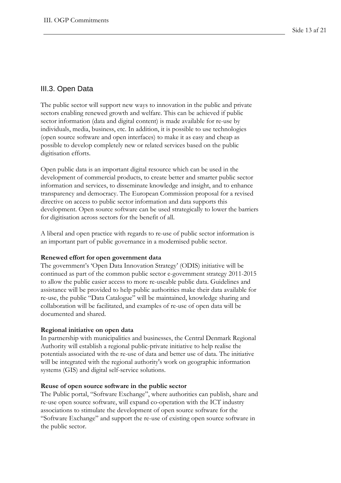## III.3. Open Data

The public sector will support new ways to innovation in the public and private sectors enabling renewed growth and welfare. This can be achieved if public sector information (data and digital content) is made available for re-use by individuals, media, business, etc. In addition, it is possible to use technologies (open source software and open interfaces) to make it as easy and cheap as possible to develop completely new or related services based on the public digitisation efforts.

Open public data is an important digital resource which can be used in the development of commercial products, to create better and smarter public sector information and services, to disseminate knowledge and insight, and to enhance transparency and democracy. The European Commission proposal for a revised directive on access to public sector information and data supports this development. Open source software can be used strategically to lower the barriers for digitisation across sectors for the benefit of all.

A liberal and open practice with regards to re-use of public sector information is an important part of public governance in a modernised public sector.

#### Renewed effort for open government data

The government's 'Open Data Innovation Strategy' (ODIS) initiative will be continued as part of the common public sector e-government strategy 2011-2015 to allow the public easier access to more re-useable public data. Guidelines and assistance will be provided to help public authorities make their data available for re-use, the public "Data Catalogue" will be maintained, knowledge sharing and collaboration will be facilitated, and examples of re-use of open data will be documented and shared.

#### Regional initiative on open data

In partnership with municipalities and businesses, the Central Denmark Regional Authority will establish a regional public-private initiative to help realise the potentials associated with the re-use of data and better use of data. The initiative will be integrated with the regional authority's work on geographic information systems (GIS) and digital self-service solutions.

#### Reuse of open source software in the public sector

The Public portal, "Software Exchange", where authorities can publish, share and re-use open source software, will expand co-operation with the ICT industry associations to stimulate the development of open source software for the "Software Exchange" and support the re-use of existing open source software in the public sector.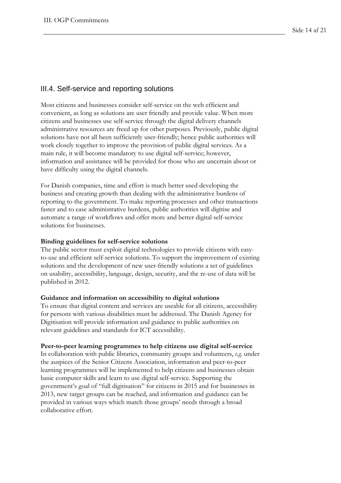### III.4. Self-service and reporting solutions

Most citizens and businesses consider self-service on the web efficient and convenient, as long as solutions are user friendly and provide value. When more citizens and businesses use self-service through the digital delivery channels administrative resources are freed up for other purposes. Previously, public digital solutions have not all been sufficiently user-friendly; hence public authorities will work closely together to improve the provision of public digital services. As a main rule, it will become mandatory to use digital self-service; however, information and assistance will be provided for those who are uncertain about or have difficulty using the digital channels.

For Danish companies, time and effort is much better used developing the business and creating growth than dealing with the administrative burdens of reporting to the government. To make reporting processes and other transactions faster and to ease administrative burdens, public authorities will digitise and automate a range of workflows and offer more and better digital self-service solutions for businesses.

#### Binding guidelines for self-service solutions

The public sector must exploit digital technologies to provide citizens with easyto-use and efficient self-service solutions. To support the improvement of existing solutions and the development of new user-friendly solutions a set of guidelines on usability, accessibility, language, design, security, and the re-use of data will be published in 2012.

#### Guidance and information on accessibility to digital solutions

To ensure that digital content and services are useable for all citizens, accessibility for persons with various disabilities must be addressed. The Danish Agency for Digitisation will provide information and guidance to public authorities on relevant guidelines and standards for ICT accessibility.

#### Peer-to-peer learning programmes to help citizens use digital self-service

In collaboration with public libraries, community groups and volunteers, e.g. under the auspices of the Senior Citizens Association, information and peer-to-peer learning programmes will be implemented to help citizens and businesses obtain basic computer skills and learn to use digital self-service. Supporting the govenrment's goal of "full digitisation" for citizens in 2015 and for businesses in 2013, new target groups can be reached, and information and guidance can be provided in various ways which match those groups' needs through a broad collaborative effort.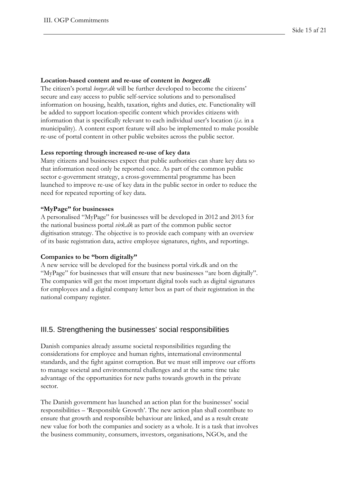#### Location-based content and re-use of content in borger.dk

The citizen's portal *borger.dk* will be further developed to become the citizens' secure and easy access to public self-service solutions and to personalised information on housing, health, taxation, rights and duties, etc. Functionality will be added to support location-specific content which provides citizens with information that is specifically relevant to each individual user's location (i.e. in a municipality). A content export feature will also be implemented to make possible re-use of portal content in other public websites across the public sector.

#### Less reporting through increased re-use of key data

Many citizens and businesses expect that public authorities can share key data so that information need only be reported once. As part of the common public sector e-government strategy, a cross-governmental programme has been launched to improve re-use of key data in the public sector in order to reduce the need for repeated reporting of key data.

#### "MyPage" for businesses

A personalised "MyPage" for businesses will be developed in 2012 and 2013 for the national business portal virk.dk as part of the common public sector digitisation strategy. The objective is to provide each company with an overview of its basic registration data, active employee signatures, rights, and reportings.

#### Companies to be "born digitally"

A new service will be developed for the business portal virk.dk and on the "MyPage" for businesses that will ensure that new businesses "are born digitally". The companies will get the most important digital tools such as digital signatures for employees and a digital company letter box as part of their registration in the national company register.

#### III.5. Strengthening the businesses' social responsibilities

Danish companies already assume societal responsibilities regarding the considerations for employee and human rights, international environmental standards, and the fight against corruption. But we must still improve our efforts to manage societal and environmental challenges and at the same time take advantage of the opportunities for new paths towards growth in the private sector.

The Danish government has launched an action plan for the businesses' social responsibilities – 'Responsible Growth'. The new action plan shall contribute to ensure that growth and responsible behaviour are linked, and as a result create new value for both the companies and society as a whole. It is a task that involves the business community, consumers, investors, organisations, NGOs, and the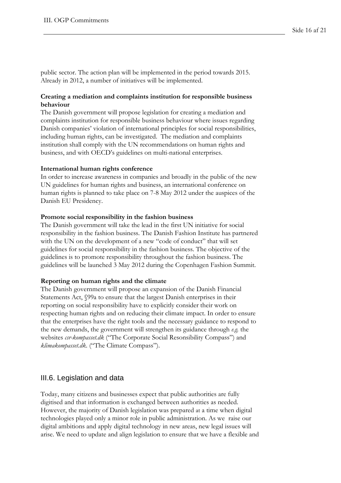public sector. The action plan will be implemented in the period towards 2015. Already in 2012, a number of initiatives will be implemented.

#### Creating a mediation and complaints institution for responsible business behaviour

The Danish government will propose legislation for creating a mediation and complaints institution for responsible business behaviour where issues regarding Danish companies' violation of international principles for social responsibilities, including human rights, can be investigated. The mediation and complaints institution shall comply with the UN recommendations on human rights and business, and with OECD's guidelines on multi-national enterprises.

#### International human rights conference

In order to increase awareness in companies and broadly in the public of the new UN guidelines for human rights and business, an international conference on human rights is planned to take place on 7-8 May 2012 under the auspices of the Danish EU Presidency.

#### Promote social responsibility in the fashion business

The Danish government will take the lead in the first UN initiative for social responsibility in the fashion business. The Danish Fashion Institute has partnered with the UN on the development of a new "code of conduct" that will set guidelines for social responsibility in the fashion business. The objective of the guidelines is to promote responsibility throughout the fashion business. The guidelines will be launched 3 May 2012 during the Copenhagen Fashion Summit.

#### Reporting on human rights and the climate

The Danish government will propose an expansion of the Danish Financial Statements Act, §99a to ensure that the largest Danish enterprises in their reporting on social responsibility have to explicitly consider their work on respecting human rights and on reducing their climate impact. In order to ensure that the enterprises have the right tools and the necessary guidance to respond to the new demands, the government will strengthen its guidance through e.g. the websites csr-kompasset.dk ("The Corporate Social Resonsibility Compass") and klimakompasset.dk. ("The Climate Compass").

### III.6. Legislation and data

Today, many citizens and businesses expect that public authorities are fully digitised and that information is exchanged between authorities as needed. However, the majority of Danish legislation was prepared at a time when digital technologies played only a minor role in public administration. As we raise our digital ambitions and apply digital technology in new areas, new legal issues will arise. We need to update and align legislation to ensure that we have a flexible and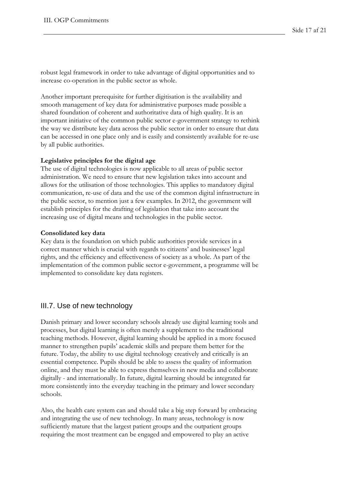robust legal framework in order to take advantage of digital opportunities and to increase co-operation in the public sector as whole.

Another important prerequisite for further digitisation is the availability and smooth management of key data for administrative purposes made possible a shared foundation of coherent and authoritative data of high quality. It is an important initiative of the common public sector e-government strategy to rethink the way we distribute key data across the public sector in order to ensure that data can be accessed in one place only and is easily and consistently available for re-use by all public authorities.

#### Legislative principles for the digital age

The use of digital technologies is now applicable to all areas of public sector administration. We need to ensure that new legislation takes into account and allows for the utilisation of those technologies. This applies to mandatory digital communication, re-use of data and the use of the common digital infrastructure in the public sector, to mention just a few examples. In 2012, the government will establish principles for the drafting of legislation that take into account the increasing use of digital means and technologies in the public sector.

#### Consolidated key data

Key data is the foundation on which public authorities provide services in a correct manner which is crucial with regards to citizens' and businesses' legal rights, and the efficiency and effectiveness of society as a whole. As part of the implementation of the common public sector e-government, a programme will be implemented to consolidate key data registers.

## III.7. Use of new technology

Danish primary and lower secondary schools already use digital learning tools and processes, but digital learning is often merely a supplement to the traditional teaching methods. However, digital learning should be applied in a more focused manner to strengthen pupils' academic skills and prepare them better for the future. Today, the ability to use digital technology creatively and critically is an essential competence. Pupils should be able to assess the quality of information online, and they must be able to express themselves in new media and collaborate digitally - and internationally. In future, digital learning should be integrated far more consistently into the everyday teaching in the primary and lower secondary schools.

Also, the health care system can and should take a big step forward by embracing and integrating the use of new technology. In many areas, technology is now sufficiently mature that the largest patient groups and the outpatient groups requiring the most treatment can be engaged and empowered to play an active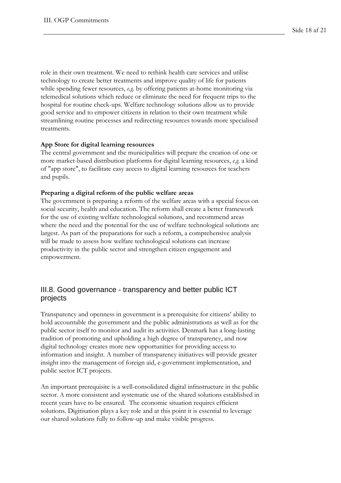role in their own treatment. We need to rethink health care services and utilise technology to create better treatments and improve quality of life for patients while spending fewer resources, e.g. by offering patients at-home monitoring via telemedical solutions which reduce or eliminate the need for frequent trips to the hospital for routine check-ups. Welfare technology solutions allow us to provide good service and to empower citizens in relation to their own treatment while streamlining routine processes and redirecting resources towards more specialised treatments.

#### App Store for digital learning resources

The central government and the municipalities will prepare the creation of one or more market-based distribution platforms for digital learning resources, e.g. a kind of "app store", to facilitate easy access to digital learning resources for teachers and pupils.

#### Preparing a digital reform of the public welfare areas

The government is preparing a reform of the welfare areas with a special focus on social security, health and education. The reform shall create a better framework for the use of existing welfare technological solutions, and recommend areas where the need and the potential for the use of welfare technological solutions are largest. As part of the preparations for such a reform, a comprehensive analysis will be made to assess how welfare technological solutions can increase productivity in the public sector and strengthen citizen engagement and empowerment.

## III.8. Good governance - transparency and better public ICT projects

Transparency and openness in government is a prerequisite for citizens' ability to hold accountable the government and the public administrations as well as for the public sector itself to monitor and audit its activities. Denmark has a long-lasting tradition of promoting and upholding a high degree of transparency, and now digital technology creates more new opportunities for providing access to information and insight. A number of transparency initiatives will provide greater insight into the management of foreign aid, e-government implementation, and public sector ICT projects.

An important prerequisite is a well-consolidated digital infrastructure in the public sector. A more consistent and systematic use of the shared solutions established in recent years have to be ensured. The economic situation requires efficient solutions. Digitisation plays a key role and at this point it is essential to leverage our shared solutions fully to follow-up and make visible progress.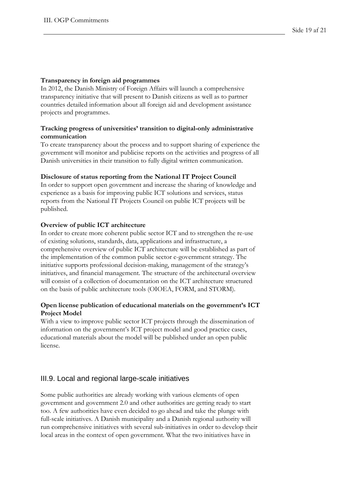#### Transparency in foreign aid programmes

In 2012, the Danish Ministry of Foreign Affairs will launch a comprehensive transparency initiative that will present to Danish citizens as well as to partner countries detailed information about all foreign aid and development assistance projects and programmes.

#### Tracking progress of universities' transition to digital-only administrative communication

To create transparency about the process and to support sharing of experience the government will monitor and publicise reports on the activities and progress of all Danish universities in their transition to fully digital written communication.

#### Disclosure of status reporting from the National IT Project Council

In order to support open government and increase the sharing of knowledge and experience as a basis for improving public ICT solutions and services, status reports from the National IT Projects Council on public ICT projects will be published.

#### Overview of public ICT architecture

In order to create more coherent public sector ICT and to strengthen the re-use of existing solutions, standards, data, applications and infrastructure, a comprehensive overview of public ICT architecture will be established as part of the implementation of the common public sector e-government strategy. The initiative supports professional decision-making, management of the strategy's initiatives, and financial management. The structure of the architectural overview will consist of a collection of documentation on the ICT architecture structured on the basis of public architecture tools (OIOEA, FORM, and STORM).

#### Open license publication of educational materials on the government's ICT Project Model

With a view to improve public sector ICT projects through the dissemination of information on the government's ICT project model and good practice cases, educational materials about the model will be published under an open public license.

## III.9. Local and regional large-scale initiatives

Some public authorities are already working with various elements of open government and government 2.0 and other authorities are getting ready to start too. A few authorities have even decided to go ahead and take the plunge with full-scale initiatives. A Danish municipality and a Danish regional authority will run comprehensive initiatives with several sub-initiatives in order to develop their local areas in the context of open government. What the two initiatives have in